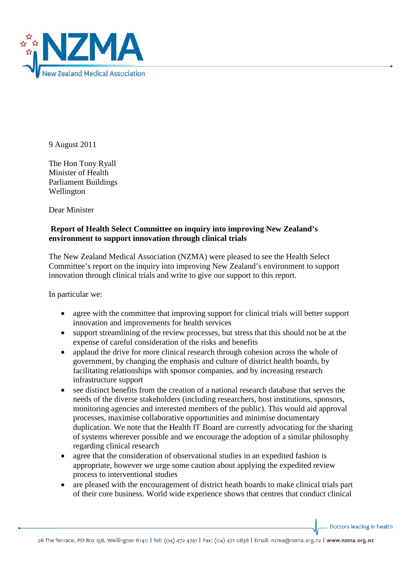

9 August 2011

The Hon Tony Ryall Minister of Health Parliament Buildings Wellington

Dear Minister

## **Report of Health Select Committee on inquiry into improving New Zealand's environment to support innovation through clinical trials**

The New Zealand Medical Association (NZMA) were pleased to see the Health Select Committee's report on the inquiry into improving New Zealand's environment to support innovation through clinical trials and write to give our support to this report.

In particular we:

- agree with the committee that improving support for clinical trials will better support innovation and improvements for health services
- support streamlining of the review processes, but stress that this should not be at the expense of careful consideration of the risks and benefits
- applaud the drive for more clinical research through cohesion across the whole of government, by changing the emphasis and culture of district health boards, by facilitating relationships with sponsor companies, and by increasing research infrastructure support
- see distinct benefits from the creation of a national research database that serves the needs of the diverse stakeholders (including researchers, host institutions, sponsors, monitoring agencies and interested members of the public). This would aid approval processes, maximise collaborative opportunities and minimise documentary duplication. We note that the Health IT Board are currently advocating for the sharing of systems wherever possible and we encourage the adoption of a similar philosophy regarding clinical research
- agree that the consideration of observational studies in an expedited fashion is appropriate, however we urge some caution about applying the expedited review process to interventional studies
- are pleased with the encouragement of district heath boards to make clinical trials part of their core business. World wide experience shows that centres that conduct clinical

Doctors leading in health